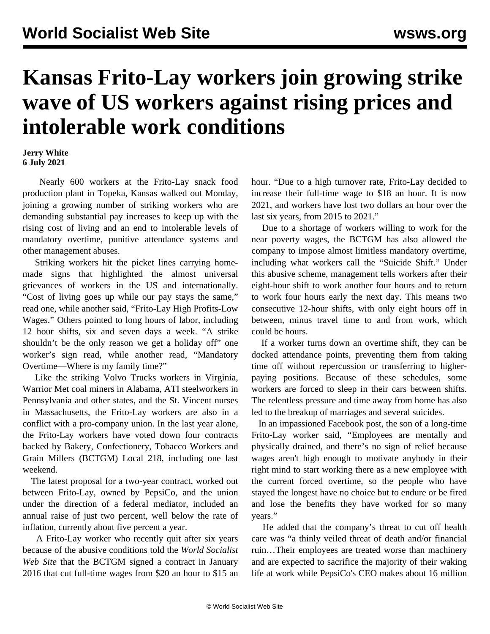## **Kansas Frito-Lay workers join growing strike wave of US workers against rising prices and intolerable work conditions**

## **Jerry White 6 July 2021**

 Nearly 600 workers at the Frito-Lay snack food production plant in Topeka, Kansas walked out Monday, joining a growing number of striking workers who are demanding substantial pay increases to keep up with the rising cost of living and an end to intolerable levels of mandatory overtime, punitive attendance systems and other management abuses.

 Striking workers hit the picket lines carrying homemade signs that highlighted the almost universal grievances of workers in the US and internationally. "Cost of living goes up while our pay stays the same," read one, while another said, "Frito-Lay High Profits-Low Wages." Others pointed to long hours of labor, including 12 hour shifts, six and seven days a week. "A strike shouldn't be the only reason we get a holiday off" one worker's sign read, while another read, "Mandatory Overtime—Where is my family time?"

 Like the striking Volvo Trucks workers in Virginia, Warrior Met coal miners in Alabama, ATI steelworkers in Pennsylvania and other states, and the St. Vincent nurses in Massachusetts, the Frito-Lay workers are also in a conflict with a pro-company union. In the last year alone, the Frito-Lay workers have voted down four contracts backed by Bakery, Confectionery, Tobacco Workers and Grain Millers (BCTGM) Local 218, including one last weekend.

 The latest proposal for a two-year contract, worked out between Frito-Lay, owned by PepsiCo, and the union under the direction of a federal mediator, included an annual raise of just two percent, well below the rate of inflation, currently about five percent a year.

 A Frito-Lay worker who recently quit after six years because of the abusive conditions told the *World Socialist Web Site* that the BCTGM signed a contract in January 2016 that cut full-time wages from \$20 an hour to \$15 an hour. "Due to a high turnover rate, Frito-Lay decided to increase their full-time wage to \$18 an hour. It is now 2021, and workers have lost two dollars an hour over the last six years, from 2015 to 2021."

 Due to a shortage of workers willing to work for the near poverty wages, the BCTGM has also allowed the company to impose almost limitless mandatory overtime, including what workers call the "Suicide Shift." Under this abusive scheme, management tells workers after their eight-hour shift to work another four hours and to return to work four hours early the next day. This means two consecutive 12-hour shifts, with only eight hours off in between, minus travel time to and from work, which could be hours.

 If a worker turns down an overtime shift, they can be docked attendance points, preventing them from taking time off without repercussion or transferring to higherpaying positions. Because of these schedules, some workers are forced to sleep in their cars between shifts. The relentless pressure and time away from home has also led to the breakup of marriages and several suicides.

 In an impassioned Facebook post, the son of a long-time Frito-Lay worker said, "Employees are mentally and physically drained, and there's no sign of relief because wages aren't high enough to motivate anybody in their right mind to start working there as a new employee with the current forced overtime, so the people who have stayed the longest have no choice but to endure or be fired and lose the benefits they have worked for so many years."

 He added that the company's threat to cut off health care was "a thinly veiled threat of death and/or financial ruin…Their employees are treated worse than machinery and are expected to sacrifice the majority of their waking life at work while PepsiCo's CEO makes about 16 million